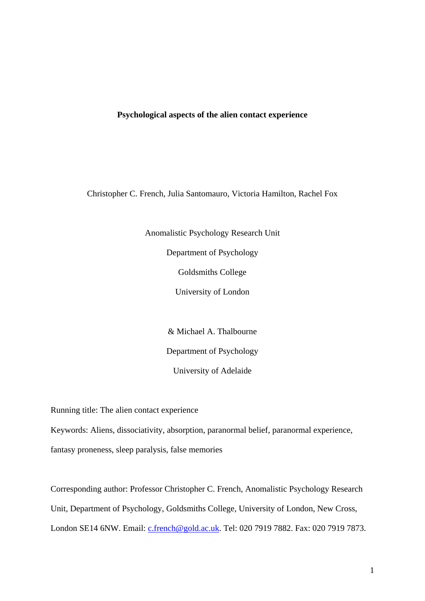## **Psychological aspects of the alien contact experience**

Christopher C. French, Julia Santomauro, Victoria Hamilton, Rachel Fox

Anomalistic Psychology Research Unit Department of Psychology Goldsmiths College University of London

> & Michael A. Thalbourne Department of Psychology University of Adelaide

Running title: The alien contact experience

Keywords: Aliens, dissociativity, absorption, paranormal belief, paranormal experience, fantasy proneness, sleep paralysis, false memories

Corresponding author: Professor Christopher C. French, Anomalistic Psychology Research Unit, Department of Psychology, Goldsmiths College, University of London, New Cross, London SE14 6NW. Email: c.french@gold.ac.uk. Tel: 020 7919 7882. Fax: 020 7919 7873.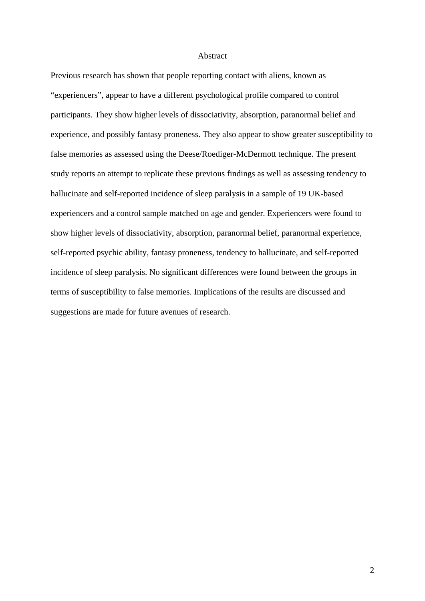#### Abstract

Previous research has shown that people reporting contact with aliens, known as "experiencers", appear to have a different psychological profile compared to control participants. They show higher levels of dissociativity, absorption, paranormal belief and experience, and possibly fantasy proneness. They also appear to show greater susceptibility to false memories as assessed using the Deese/Roediger-McDermott technique. The present study reports an attempt to replicate these previous findings as well as assessing tendency to hallucinate and self-reported incidence of sleep paralysis in a sample of 19 UK-based experiencers and a control sample matched on age and gender. Experiencers were found to show higher levels of dissociativity, absorption, paranormal belief, paranormal experience, self-reported psychic ability, fantasy proneness, tendency to hallucinate, and self-reported incidence of sleep paralysis. No significant differences were found between the groups in terms of susceptibility to false memories. Implications of the results are discussed and suggestions are made for future avenues of research.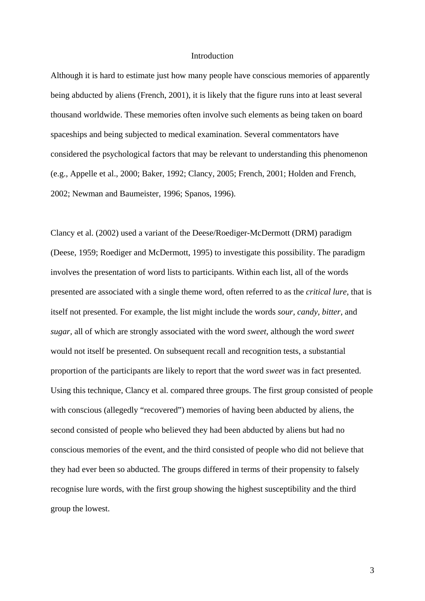#### Introduction

Although it is hard to estimate just how many people have conscious memories of apparently being abducted by aliens (French, 2001), it is likely that the figure runs into at least several thousand worldwide. These memories often involve such elements as being taken on board spaceships and being subjected to medical examination. Several commentators have considered the psychological factors that may be relevant to understanding this phenomenon (e.g., Appelle et al., 2000; Baker, 1992; Clancy, 2005; French, 2001; Holden and French, 2002; Newman and Baumeister, 1996; Spanos, 1996).

Clancy et al. (2002) used a variant of the Deese/Roediger-McDermott (DRM) paradigm (Deese, 1959; Roediger and McDermott, 1995) to investigate this possibility. The paradigm involves the presentation of word lists to participants. Within each list, all of the words presented are associated with a single theme word, often referred to as the *critical lure,* that is itself not presented. For example, the list might include the words *sour, candy, bitter,* and *sugar,* all of which are strongly associated with the word *sweet*, although the word *sweet*  would not itself be presented. On subsequent recall and recognition tests, a substantial proportion of the participants are likely to report that the word *sweet* was in fact presented. Using this technique, Clancy et al. compared three groups. The first group consisted of people with conscious (allegedly "recovered") memories of having been abducted by aliens, the second consisted of people who believed they had been abducted by aliens but had no conscious memories of the event, and the third consisted of people who did not believe that they had ever been so abducted. The groups differed in terms of their propensity to falsely recognise lure words, with the first group showing the highest susceptibility and the third group the lowest.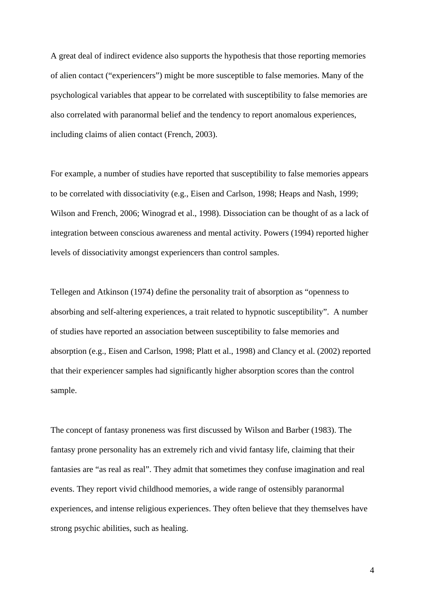A great deal of indirect evidence also supports the hypothesis that those reporting memories of alien contact ("experiencers") might be more susceptible to false memories. Many of the psychological variables that appear to be correlated with susceptibility to false memories are also correlated with paranormal belief and the tendency to report anomalous experiences, including claims of alien contact (French, 2003).

For example, a number of studies have reported that susceptibility to false memories appears to be correlated with dissociativity (e.g., Eisen and Carlson, 1998; Heaps and Nash, 1999; Wilson and French, 2006; Winograd et al., 1998). Dissociation can be thought of as a lack of integration between conscious awareness and mental activity. Powers (1994) reported higher levels of dissociativity amongst experiencers than control samples.

Tellegen and Atkinson (1974) define the personality trait of absorption as "openness to absorbing and self-altering experiences, a trait related to hypnotic susceptibility". A number of studies have reported an association between susceptibility to false memories and absorption (e.g., Eisen and Carlson, 1998; Platt et al., 1998) and Clancy et al. (2002) reported that their experiencer samples had significantly higher absorption scores than the control sample.

The concept of fantasy proneness was first discussed by Wilson and Barber (1983). The fantasy prone personality has an extremely rich and vivid fantasy life, claiming that their fantasies are "as real as real". They admit that sometimes they confuse imagination and real events. They report vivid childhood memories, a wide range of ostensibly paranormal experiences, and intense religious experiences. They often believe that they themselves have strong psychic abilities, such as healing.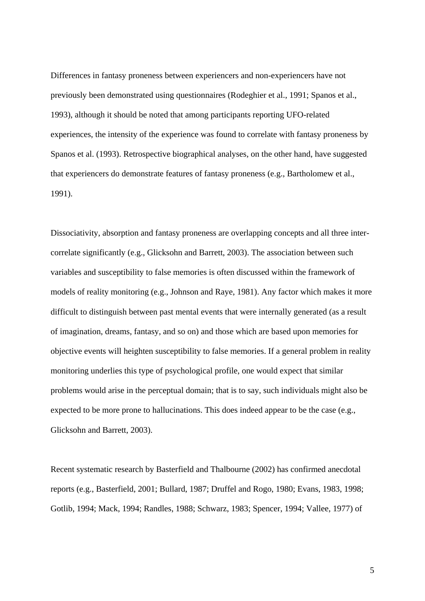Differences in fantasy proneness between experiencers and non-experiencers have not previously been demonstrated using questionnaires (Rodeghier et al., 1991; Spanos et al., 1993), although it should be noted that among participants reporting UFO-related experiences, the intensity of the experience was found to correlate with fantasy proneness by Spanos et al. (1993). Retrospective biographical analyses, on the other hand, have suggested that experiencers do demonstrate features of fantasy proneness (e.g., Bartholomew et al., 1991).

Dissociativity, absorption and fantasy proneness are overlapping concepts and all three intercorrelate significantly (e.g., Glicksohn and Barrett, 2003). The association between such variables and susceptibility to false memories is often discussed within the framework of models of reality monitoring (e.g., Johnson and Raye, 1981). Any factor which makes it more difficult to distinguish between past mental events that were internally generated (as a result of imagination, dreams, fantasy, and so on) and those which are based upon memories for objective events will heighten susceptibility to false memories. If a general problem in reality monitoring underlies this type of psychological profile, one would expect that similar problems would arise in the perceptual domain; that is to say, such individuals might also be expected to be more prone to hallucinations. This does indeed appear to be the case (e.g., Glicksohn and Barrett, 2003).

Recent systematic research by Basterfield and Thalbourne (2002) has confirmed anecdotal reports (e.g., Basterfield, 2001; Bullard, 1987; Druffel and Rogo, 1980; Evans, 1983, 1998; Gotlib, 1994; Mack, 1994; Randles, 1988; Schwarz, 1983; Spencer, 1994; Vallee, 1977) of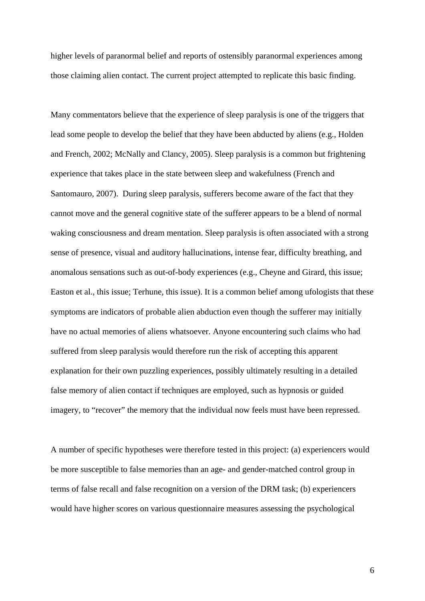higher levels of paranormal belief and reports of ostensibly paranormal experiences among those claiming alien contact. The current project attempted to replicate this basic finding.

Many commentators believe that the experience of sleep paralysis is one of the triggers that lead some people to develop the belief that they have been abducted by aliens (e.g., Holden and French, 2002; McNally and Clancy, 2005). Sleep paralysis is a common but frightening experience that takes place in the state between sleep and wakefulness (French and Santomauro, 2007). During sleep paralysis, sufferers become aware of the fact that they cannot move and the general cognitive state of the sufferer appears to be a blend of normal waking consciousness and dream mentation. Sleep paralysis is often associated with a strong sense of presence, visual and auditory hallucinations, intense fear, difficulty breathing, and anomalous sensations such as out-of-body experiences (e.g., Cheyne and Girard, this issue; Easton et al., this issue; Terhune, this issue). It is a common belief among ufologists that these symptoms are indicators of probable alien abduction even though the sufferer may initially have no actual memories of aliens whatsoever. Anyone encountering such claims who had suffered from sleep paralysis would therefore run the risk of accepting this apparent explanation for their own puzzling experiences, possibly ultimately resulting in a detailed false memory of alien contact if techniques are employed, such as hypnosis or guided imagery, to "recover" the memory that the individual now feels must have been repressed.

A number of specific hypotheses were therefore tested in this project: (a) experiencers would be more susceptible to false memories than an age- and gender-matched control group in terms of false recall and false recognition on a version of the DRM task; (b) experiencers would have higher scores on various questionnaire measures assessing the psychological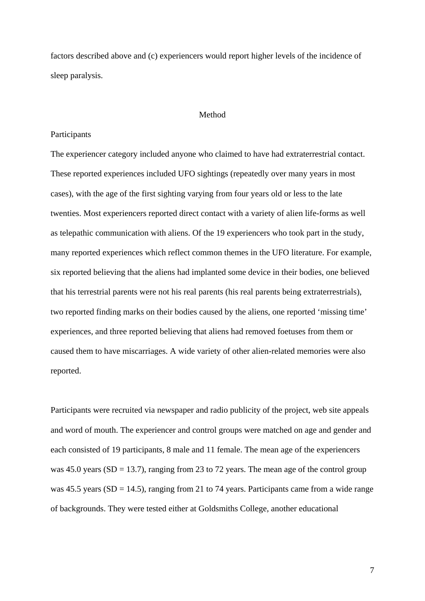factors described above and (c) experiencers would report higher levels of the incidence of sleep paralysis.

### Method

### Participants

The experiencer category included anyone who claimed to have had extraterrestrial contact. These reported experiences included UFO sightings (repeatedly over many years in most cases), with the age of the first sighting varying from four years old or less to the late twenties. Most experiencers reported direct contact with a variety of alien life-forms as well as telepathic communication with aliens. Of the 19 experiencers who took part in the study, many reported experiences which reflect common themes in the UFO literature. For example, six reported believing that the aliens had implanted some device in their bodies, one believed that his terrestrial parents were not his real parents (his real parents being extraterrestrials), two reported finding marks on their bodies caused by the aliens, one reported 'missing time' experiences, and three reported believing that aliens had removed foetuses from them or caused them to have miscarriages. A wide variety of other alien-related memories were also reported.

Participants were recruited via newspaper and radio publicity of the project, web site appeals and word of mouth. The experiencer and control groups were matched on age and gender and each consisted of 19 participants, 8 male and 11 female. The mean age of the experiencers was 45.0 years (SD = 13.7), ranging from 23 to 72 years. The mean age of the control group was 45.5 years (SD = 14.5), ranging from 21 to 74 years. Participants came from a wide range of backgrounds. They were tested either at Goldsmiths College, another educational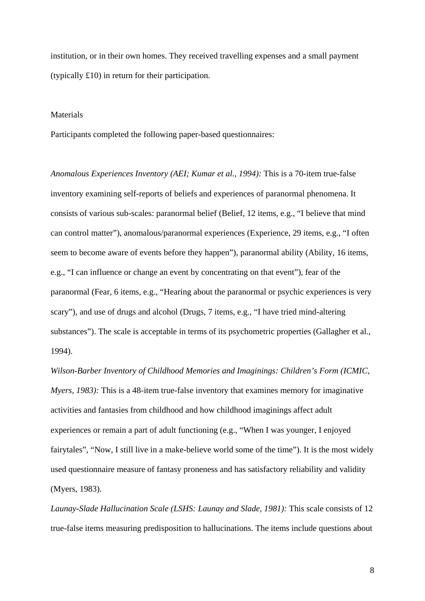institution, or in their own homes. They received travelling expenses and a small payment (typically £10) in return for their participation.

## Materials

Participants completed the following paper-based questionnaires:

*Anomalous Experiences Inventory (AEI; Kumar et al., 1994):* This is a 70-item true-false inventory examining self-reports of beliefs and experiences of paranormal phenomena. It consists of various sub-scales: paranormal belief (Belief, 12 items, e.g., "I believe that mind can control matter"), anomalous/paranormal experiences (Experience, 29 items, e.g., "I often seem to become aware of events before they happen"), paranormal ability (Ability, 16 items, e.g., "I can influence or change an event by concentrating on that event"), fear of the paranormal (Fear, 6 items, e.g., "Hearing about the paranormal or psychic experiences is very scary"), and use of drugs and alcohol (Drugs, 7 items, e.g., "I have tried mind-altering substances"). The scale is acceptable in terms of its psychometric properties (Gallagher et al., 1994).

*Wilson-Barber Inventory of Childhood Memories and Imaginings: Children's Form (ICMIC, Myers, 1983):* This is a 48-item true-false inventory that examines memory for imaginative activities and fantasies from childhood and how childhood imaginings affect adult experiences or remain a part of adult functioning (e.g., "When I was younger, I enjoyed fairytales", "Now, I still live in a make-believe world some of the time"). It is the most widely used questionnaire measure of fantasy proneness and has satisfactory reliability and validity (Myers, 1983).

*Launay-Slade Hallucination Scale (LSHS: Launay and Slade, 1981):* This scale consists of 12 true-false items measuring predisposition to hallucinations. The items include questions about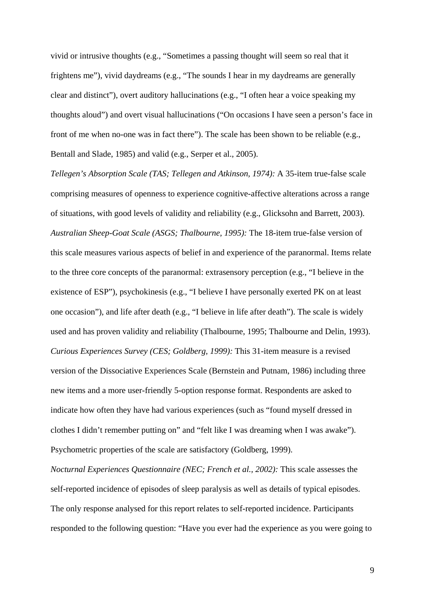vivid or intrusive thoughts (e.g., "Sometimes a passing thought will seem so real that it frightens me"), vivid daydreams (e.g., "The sounds I hear in my daydreams are generally clear and distinct"), overt auditory hallucinations (e.g., "I often hear a voice speaking my thoughts aloud") and overt visual hallucinations ("On occasions I have seen a person's face in front of me when no-one was in fact there"). The scale has been shown to be reliable (e.g., Bentall and Slade, 1985) and valid (e.g., Serper et al., 2005).

*Tellegen's Absorption Scale (TAS; Tellegen and Atkinson, 1974):* A 35-item true-false scale comprising measures of openness to experience cognitive-affective alterations across a range of situations, with good levels of validity and reliability (e.g., Glicksohn and Barrett, 2003). *Australian Sheep-Goat Scale (ASGS; Thalbourne, 1995):* The 18-item true-false version of this scale measures various aspects of belief in and experience of the paranormal. Items relate to the three core concepts of the paranormal: extrasensory perception (e.g., "I believe in the existence of ESP"), psychokinesis (e.g., "I believe I have personally exerted PK on at least one occasion"), and life after death (e.g., "I believe in life after death"). The scale is widely used and has proven validity and reliability (Thalbourne, 1995; Thalbourne and Delin, 1993). *Curious Experiences Survey (CES; Goldberg, 1999):* This 31-item measure is a revised version of the Dissociative Experiences Scale (Bernstein and Putnam, 1986) including three new items and a more user-friendly 5-option response format. Respondents are asked to indicate how often they have had various experiences (such as "found myself dressed in clothes I didn't remember putting on" and "felt like I was dreaming when I was awake"). Psychometric properties of the scale are satisfactory (Goldberg, 1999).

*Nocturnal Experiences Questionnaire (NEC; French et al., 2002):* This scale assesses the self-reported incidence of episodes of sleep paralysis as well as details of typical episodes. The only response analysed for this report relates to self-reported incidence. Participants responded to the following question: "Have you ever had the experience as you were going to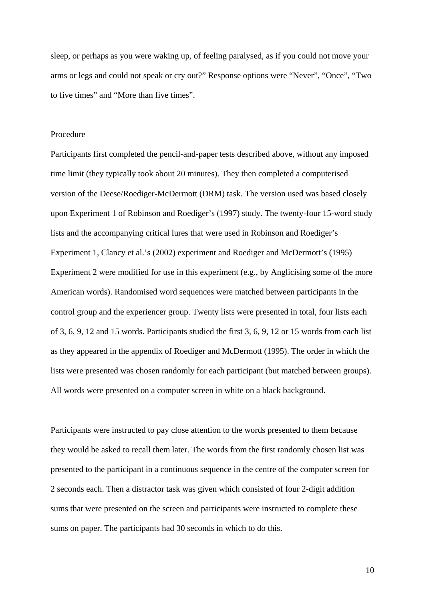sleep, or perhaps as you were waking up, of feeling paralysed, as if you could not move your arms or legs and could not speak or cry out?" Response options were "Never", "Once", "Two to five times" and "More than five times".

#### Procedure

Participants first completed the pencil-and-paper tests described above, without any imposed time limit (they typically took about 20 minutes). They then completed a computerised version of the Deese/Roediger-McDermott (DRM) task. The version used was based closely upon Experiment 1 of Robinson and Roediger's (1997) study. The twenty-four 15-word study lists and the accompanying critical lures that were used in Robinson and Roediger's Experiment 1, Clancy et al.'s (2002) experiment and Roediger and McDermott's (1995) Experiment 2 were modified for use in this experiment (e.g., by Anglicising some of the more American words). Randomised word sequences were matched between participants in the control group and the experiencer group. Twenty lists were presented in total, four lists each of 3, 6, 9, 12 and 15 words. Participants studied the first 3, 6, 9, 12 or 15 words from each list as they appeared in the appendix of Roediger and McDermott (1995). The order in which the lists were presented was chosen randomly for each participant (but matched between groups). All words were presented on a computer screen in white on a black background.

Participants were instructed to pay close attention to the words presented to them because they would be asked to recall them later. The words from the first randomly chosen list was presented to the participant in a continuous sequence in the centre of the computer screen for 2 seconds each. Then a distractor task was given which consisted of four 2-digit addition sums that were presented on the screen and participants were instructed to complete these sums on paper. The participants had 30 seconds in which to do this.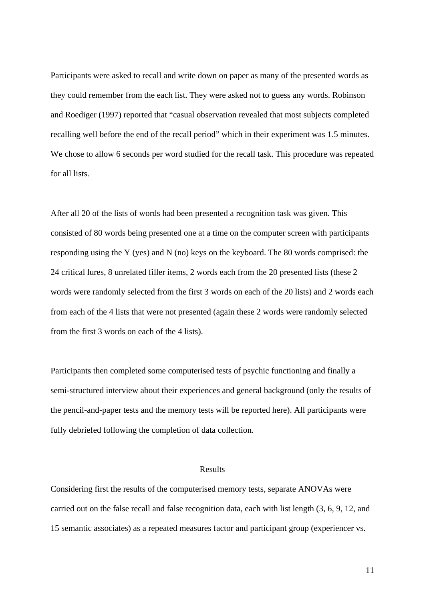Participants were asked to recall and write down on paper as many of the presented words as they could remember from the each list. They were asked not to guess any words. Robinson and Roediger (1997) reported that "casual observation revealed that most subjects completed recalling well before the end of the recall period" which in their experiment was 1.5 minutes. We chose to allow 6 seconds per word studied for the recall task. This procedure was repeated for all lists.

After all 20 of the lists of words had been presented a recognition task was given. This consisted of 80 words being presented one at a time on the computer screen with participants responding using the Y (yes) and N (no) keys on the keyboard. The 80 words comprised: the 24 critical lures, 8 unrelated filler items, 2 words each from the 20 presented lists (these 2 words were randomly selected from the first 3 words on each of the 20 lists) and 2 words each from each of the 4 lists that were not presented (again these 2 words were randomly selected from the first 3 words on each of the 4 lists).

Participants then completed some computerised tests of psychic functioning and finally a semi-structured interview about their experiences and general background (only the results of the pencil-and-paper tests and the memory tests will be reported here). All participants were fully debriefed following the completion of data collection.

#### Results

Considering first the results of the computerised memory tests, separate ANOVAs were carried out on the false recall and false recognition data, each with list length (3, 6, 9, 12, and 15 semantic associates) as a repeated measures factor and participant group (experiencer vs.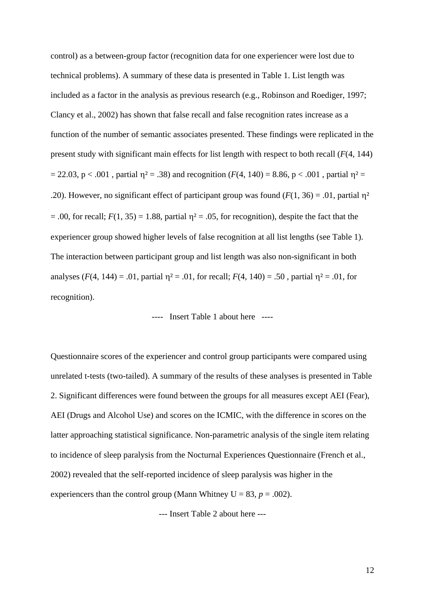control) as a between-group factor (recognition data for one experiencer were lost due to technical problems). A summary of these data is presented in Table 1. List length was included as a factor in the analysis as previous research (e.g., Robinson and Roediger, 1997; Clancy et al., 2002) has shown that false recall and false recognition rates increase as a function of the number of semantic associates presented. These findings were replicated in the present study with significant main effects for list length with respect to both recall (*F*(4, 144)  $= 22.03$ , p < .001, partial  $\eta^2 = .38$ ) and recognition (*F*(4, 140) = 8.86, p < .001, partial  $\eta^2 =$ .20). However, no significant effect of participant group was found  $(F(1, 36) = .01$ , partial  $\eta^2$  $= .00$ , for recall;  $F(1, 35) = 1.88$ , partial  $\eta^2 = .05$ , for recognition), despite the fact that the experiencer group showed higher levels of false recognition at all list lengths (see Table 1). The interaction between participant group and list length was also non-significant in both analyses ( $F(4, 144) = .01$ , partial  $\eta^2 = .01$ , for recall;  $F(4, 140) = .50$ , partial  $\eta^2 = .01$ , for recognition).

---- Insert Table 1 about here ----

Questionnaire scores of the experiencer and control group participants were compared using unrelated t-tests (two-tailed). A summary of the results of these analyses is presented in Table 2. Significant differences were found between the groups for all measures except AEI (Fear), AEI (Drugs and Alcohol Use) and scores on the ICMIC, with the difference in scores on the latter approaching statistical significance. Non-parametric analysis of the single item relating to incidence of sleep paralysis from the Nocturnal Experiences Questionnaire (French et al., 2002) revealed that the self-reported incidence of sleep paralysis was higher in the experiencers than the control group (Mann Whitney  $U = 83$ ,  $p = .002$ ).

--- Insert Table 2 about here ---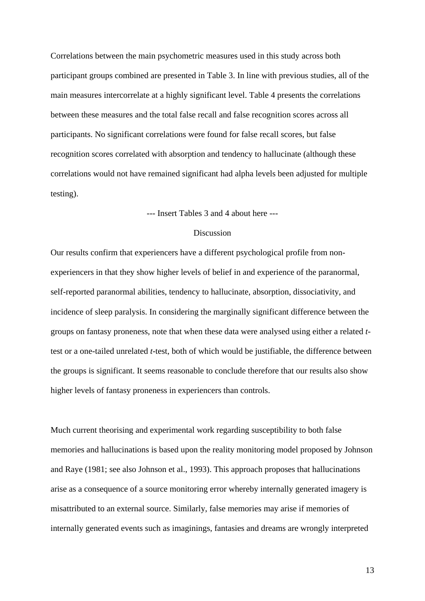Correlations between the main psychometric measures used in this study across both participant groups combined are presented in Table 3. In line with previous studies, all of the main measures intercorrelate at a highly significant level. Table 4 presents the correlations between these measures and the total false recall and false recognition scores across all participants. No significant correlations were found for false recall scores, but false recognition scores correlated with absorption and tendency to hallucinate (although these correlations would not have remained significant had alpha levels been adjusted for multiple testing).

--- Insert Tables 3 and 4 about here ---

## Discussion

Our results confirm that experiencers have a different psychological profile from nonexperiencers in that they show higher levels of belief in and experience of the paranormal, self-reported paranormal abilities, tendency to hallucinate, absorption, dissociativity, and incidence of sleep paralysis. In considering the marginally significant difference between the groups on fantasy proneness, note that when these data were analysed using either a related *t*test or a one-tailed unrelated *t*-test, both of which would be justifiable, the difference between the groups is significant. It seems reasonable to conclude therefore that our results also show higher levels of fantasy proneness in experiencers than controls.

Much current theorising and experimental work regarding susceptibility to both false memories and hallucinations is based upon the reality monitoring model proposed by Johnson and Raye (1981; see also Johnson et al., 1993). This approach proposes that hallucinations arise as a consequence of a source monitoring error whereby internally generated imagery is misattributed to an external source. Similarly, false memories may arise if memories of internally generated events such as imaginings, fantasies and dreams are wrongly interpreted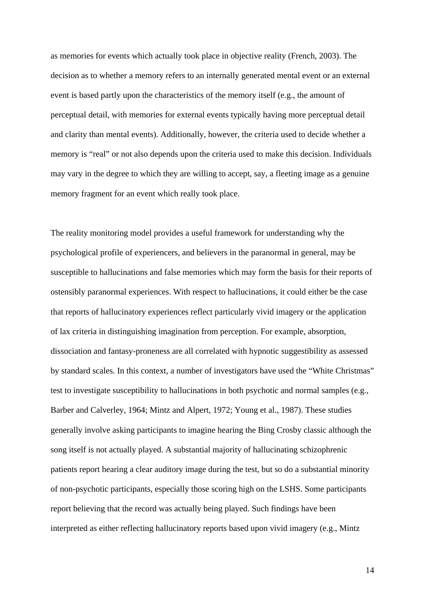as memories for events which actually took place in objective reality (French, 2003). The decision as to whether a memory refers to an internally generated mental event or an external event is based partly upon the characteristics of the memory itself (e.g., the amount of perceptual detail, with memories for external events typically having more perceptual detail and clarity than mental events). Additionally, however, the criteria used to decide whether a memory is "real" or not also depends upon the criteria used to make this decision. Individuals may vary in the degree to which they are willing to accept, say, a fleeting image as a genuine memory fragment for an event which really took place.

The reality monitoring model provides a useful framework for understanding why the psychological profile of experiencers, and believers in the paranormal in general, may be susceptible to hallucinations and false memories which may form the basis for their reports of ostensibly paranormal experiences. With respect to hallucinations, it could either be the case that reports of hallucinatory experiences reflect particularly vivid imagery or the application of lax criteria in distinguishing imagination from perception. For example, absorption, dissociation and fantasy-proneness are all correlated with hypnotic suggestibility as assessed by standard scales. In this context, a number of investigators have used the "White Christmas" test to investigate susceptibility to hallucinations in both psychotic and normal samples (e.g., Barber and Calverley, 1964; Mintz and Alpert, 1972; Young et al., 1987). These studies generally involve asking participants to imagine hearing the Bing Crosby classic although the song itself is not actually played. A substantial majority of hallucinating schizophrenic patients report hearing a clear auditory image during the test, but so do a substantial minority of non-psychotic participants, especially those scoring high on the LSHS. Some participants report believing that the record was actually being played. Such findings have been interpreted as either reflecting hallucinatory reports based upon vivid imagery (e.g., Mintz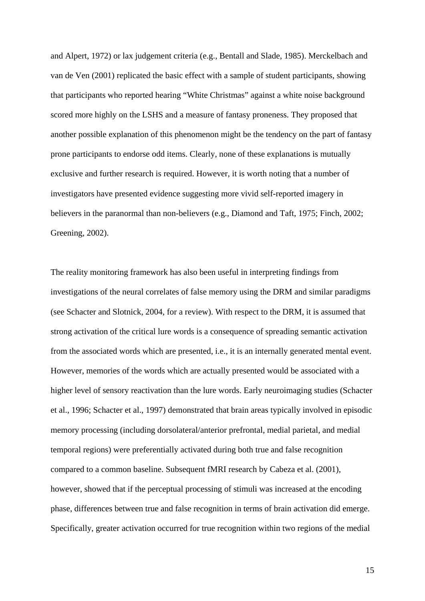and Alpert, 1972) or lax judgement criteria (e.g., Bentall and Slade, 1985). Merckelbach and van de Ven (2001) replicated the basic effect with a sample of student participants, showing that participants who reported hearing "White Christmas" against a white noise background scored more highly on the LSHS and a measure of fantasy proneness. They proposed that another possible explanation of this phenomenon might be the tendency on the part of fantasy prone participants to endorse odd items. Clearly, none of these explanations is mutually exclusive and further research is required. However, it is worth noting that a number of investigators have presented evidence suggesting more vivid self-reported imagery in believers in the paranormal than non-believers (e.g., Diamond and Taft, 1975; Finch, 2002; Greening, 2002).

The reality monitoring framework has also been useful in interpreting findings from investigations of the neural correlates of false memory using the DRM and similar paradigms (see Schacter and Slotnick, 2004, for a review). With respect to the DRM, it is assumed that strong activation of the critical lure words is a consequence of spreading semantic activation from the associated words which are presented, i.e., it is an internally generated mental event. However, memories of the words which are actually presented would be associated with a higher level of sensory reactivation than the lure words. Early neuroimaging studies (Schacter et al., 1996; Schacter et al., 1997) demonstrated that brain areas typically involved in episodic memory processing (including dorsolateral/anterior prefrontal, medial parietal, and medial temporal regions) were preferentially activated during both true and false recognition compared to a common baseline. Subsequent fMRI research by Cabeza et al. (2001), however, showed that if the perceptual processing of stimuli was increased at the encoding phase, differences between true and false recognition in terms of brain activation did emerge. Specifically, greater activation occurred for true recognition within two regions of the medial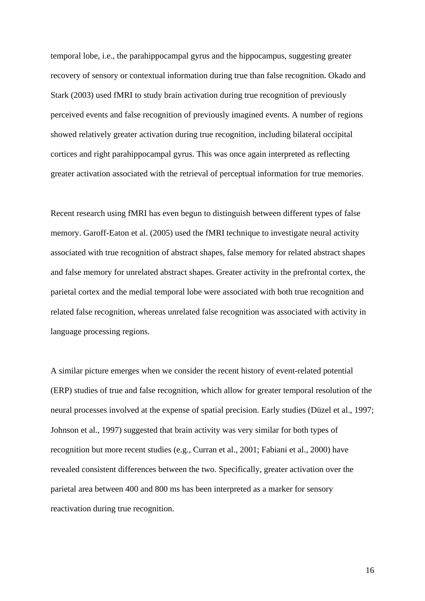temporal lobe, i.e., the parahippocampal gyrus and the hippocampus, suggesting greater recovery of sensory or contextual information during true than false recognition. Okado and Stark (2003) used fMRI to study brain activation during true recognition of previously perceived events and false recognition of previously imagined events. A number of regions showed relatively greater activation during true recognition, including bilateral occipital cortices and right parahippocampal gyrus. This was once again interpreted as reflecting greater activation associated with the retrieval of perceptual information for true memories.

Recent research using fMRI has even begun to distinguish between different types of false memory. Garoff-Eaton et al. (2005) used the fMRI technique to investigate neural activity associated with true recognition of abstract shapes, false memory for related abstract shapes and false memory for unrelated abstract shapes. Greater activity in the prefrontal cortex, the parietal cortex and the medial temporal lobe were associated with both true recognition and related false recognition, whereas unrelated false recognition was associated with activity in language processing regions.

A similar picture emerges when we consider the recent history of event-related potential (ERP) studies of true and false recognition, which allow for greater temporal resolution of the neural processes involved at the expense of spatial precision. Early studies (Düzel et al., 1997; Johnson et al., 1997) suggested that brain activity was very similar for both types of recognition but more recent studies (e.g., Curran et al., 2001; Fabiani et al., 2000) have revealed consistent differences between the two. Specifically, greater activation over the parietal area between 400 and 800 ms has been interpreted as a marker for sensory reactivation during true recognition.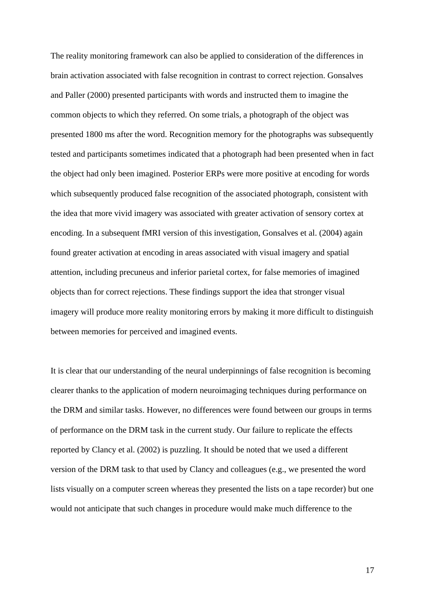The reality monitoring framework can also be applied to consideration of the differences in brain activation associated with false recognition in contrast to correct rejection. Gonsalves and Paller (2000) presented participants with words and instructed them to imagine the common objects to which they referred. On some trials, a photograph of the object was presented 1800 ms after the word. Recognition memory for the photographs was subsequently tested and participants sometimes indicated that a photograph had been presented when in fact the object had only been imagined. Posterior ERPs were more positive at encoding for words which subsequently produced false recognition of the associated photograph, consistent with the idea that more vivid imagery was associated with greater activation of sensory cortex at encoding. In a subsequent fMRI version of this investigation, Gonsalves et al. (2004) again found greater activation at encoding in areas associated with visual imagery and spatial attention, including precuneus and inferior parietal cortex, for false memories of imagined objects than for correct rejections. These findings support the idea that stronger visual imagery will produce more reality monitoring errors by making it more difficult to distinguish between memories for perceived and imagined events.

It is clear that our understanding of the neural underpinnings of false recognition is becoming clearer thanks to the application of modern neuroimaging techniques during performance on the DRM and similar tasks. However, no differences were found between our groups in terms of performance on the DRM task in the current study. Our failure to replicate the effects reported by Clancy et al. (2002) is puzzling. It should be noted that we used a different version of the DRM task to that used by Clancy and colleagues (e.g., we presented the word lists visually on a computer screen whereas they presented the lists on a tape recorder) but one would not anticipate that such changes in procedure would make much difference to the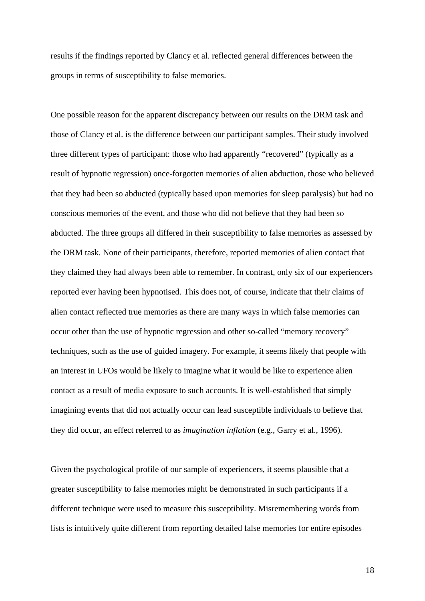results if the findings reported by Clancy et al. reflected general differences between the groups in terms of susceptibility to false memories.

One possible reason for the apparent discrepancy between our results on the DRM task and those of Clancy et al. is the difference between our participant samples. Their study involved three different types of participant: those who had apparently "recovered" (typically as a result of hypnotic regression) once-forgotten memories of alien abduction, those who believed that they had been so abducted (typically based upon memories for sleep paralysis) but had no conscious memories of the event, and those who did not believe that they had been so abducted. The three groups all differed in their susceptibility to false memories as assessed by the DRM task. None of their participants, therefore, reported memories of alien contact that they claimed they had always been able to remember. In contrast, only six of our experiencers reported ever having been hypnotised. This does not, of course, indicate that their claims of alien contact reflected true memories as there are many ways in which false memories can occur other than the use of hypnotic regression and other so-called "memory recovery" techniques, such as the use of guided imagery. For example, it seems likely that people with an interest in UFOs would be likely to imagine what it would be like to experience alien contact as a result of media exposure to such accounts. It is well-established that simply imagining events that did not actually occur can lead susceptible individuals to believe that they did occur, an effect referred to as *imagination inflation* (e.g., Garry et al., 1996).

Given the psychological profile of our sample of experiencers, it seems plausible that a greater susceptibility to false memories might be demonstrated in such participants if a different technique were used to measure this susceptibility. Misremembering words from lists is intuitively quite different from reporting detailed false memories for entire episodes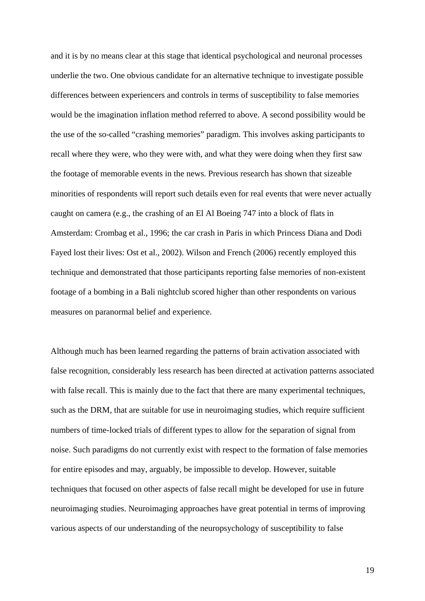and it is by no means clear at this stage that identical psychological and neuronal processes underlie the two. One obvious candidate for an alternative technique to investigate possible differences between experiencers and controls in terms of susceptibility to false memories would be the imagination inflation method referred to above. A second possibility would be the use of the so-called "crashing memories" paradigm. This involves asking participants to recall where they were, who they were with, and what they were doing when they first saw the footage of memorable events in the news. Previous research has shown that sizeable minorities of respondents will report such details even for real events that were never actually caught on camera (e.g., the crashing of an El Al Boeing 747 into a block of flats in Amsterdam: Crombag et al., 1996; the car crash in Paris in which Princess Diana and Dodi Fayed lost their lives: Ost et al., 2002). Wilson and French (2006) recently employed this technique and demonstrated that those participants reporting false memories of non-existent footage of a bombing in a Bali nightclub scored higher than other respondents on various measures on paranormal belief and experience.

Although much has been learned regarding the patterns of brain activation associated with false recognition, considerably less research has been directed at activation patterns associated with false recall. This is mainly due to the fact that there are many experimental techniques, such as the DRM, that are suitable for use in neuroimaging studies, which require sufficient numbers of time-locked trials of different types to allow for the separation of signal from noise. Such paradigms do not currently exist with respect to the formation of false memories for entire episodes and may, arguably, be impossible to develop. However, suitable techniques that focused on other aspects of false recall might be developed for use in future neuroimaging studies. Neuroimaging approaches have great potential in terms of improving various aspects of our understanding of the neuropsychology of susceptibility to false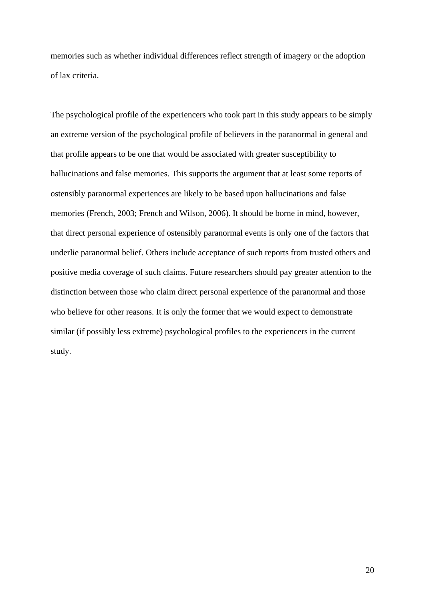memories such as whether individual differences reflect strength of imagery or the adoption of lax criteria.

The psychological profile of the experiencers who took part in this study appears to be simply an extreme version of the psychological profile of believers in the paranormal in general and that profile appears to be one that would be associated with greater susceptibility to hallucinations and false memories. This supports the argument that at least some reports of ostensibly paranormal experiences are likely to be based upon hallucinations and false memories (French, 2003; French and Wilson, 2006). It should be borne in mind, however, that direct personal experience of ostensibly paranormal events is only one of the factors that underlie paranormal belief. Others include acceptance of such reports from trusted others and positive media coverage of such claims. Future researchers should pay greater attention to the distinction between those who claim direct personal experience of the paranormal and those who believe for other reasons. It is only the former that we would expect to demonstrate similar (if possibly less extreme) psychological profiles to the experiencers in the current study.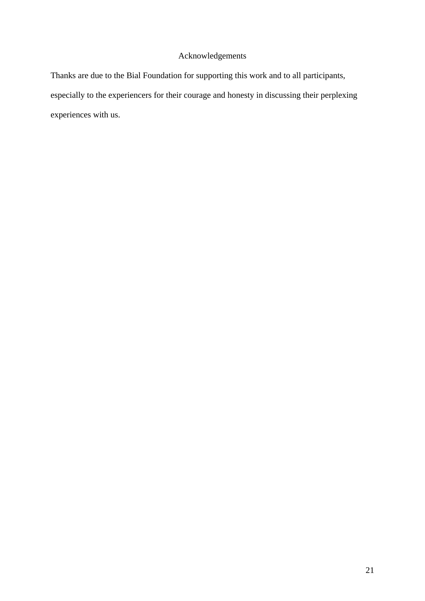# Acknowledgements

Thanks are due to the Bial Foundation for supporting this work and to all participants, especially to the experiencers for their courage and honesty in discussing their perplexing experiences with us.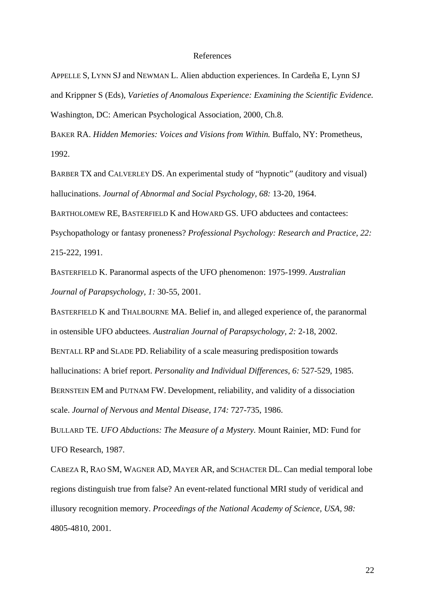#### References

APPELLE S, LYNN SJ and NEWMAN L. Alien abduction experiences. In Cardeña E, Lynn SJ and Krippner S (Eds), *Varieties of Anomalous Experience: Examining the Scientific Evidence.*  Washington, DC: American Psychological Association, 2000, Ch.8.

BAKER RA. *Hidden Memories: Voices and Visions from Within.* Buffalo, NY: Prometheus, 1992.

BARBER TX and CALVERLEY DS. An experimental study of "hypnotic" (auditory and visual) hallucinations. *Journal of Abnormal and Social Psychology, 68:* 13-20, 1964.

BARTHOLOMEW RE, BASTERFIELD K and HOWARD GS. UFO abductees and contactees:

Psychopathology or fantasy proneness? *Professional Psychology: Research and Practice, 22:* 215-222, 1991.

BASTERFIELD K. Paranormal aspects of the UFO phenomenon: 1975-1999. *Australian Journal of Parapsychology, 1:* 30-55, 2001.

BASTERFIELD K and THALBOURNE MA. Belief in, and alleged experience of, the paranormal in ostensible UFO abductees. *Australian Journal of Parapsychology, 2:* 2-18, 2002.

BENTALL RP and SLADE PD. Reliability of a scale measuring predisposition towards

hallucinations: A brief report. *Personality and Individual Differences, 6:* 527-529, 1985.

BERNSTEIN EM and PUTNAM FW. Development, reliability, and validity of a dissociation scale. *Journal of Nervous and Mental Disease, 174:* 727-735, 1986.

BULLARD TE. *UFO Abductions: The Measure of a Mystery.* Mount Rainier, MD: Fund for UFO Research, 1987.

CABEZA R, RAO SM, WAGNER AD, MAYER AR, and SCHACTER DL. Can medial temporal lobe regions distinguish true from false? An event-related functional MRI study of veridical and illusory recognition memory. *Proceedings of the National Academy of Science, USA, 98:*  4805-4810, 2001.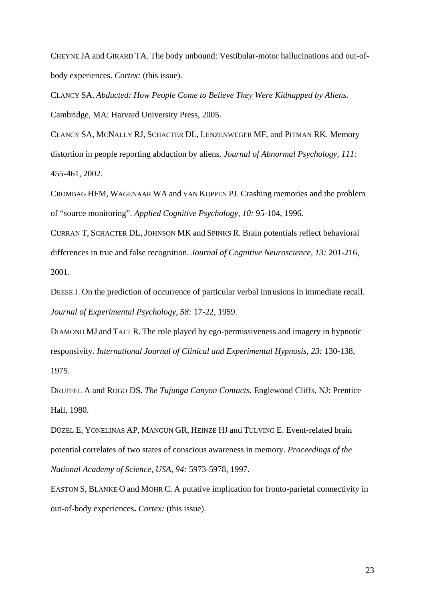CHEYNE JA and GIRARD TA. The body unbound: Vestibular-motor hallucinations and out-ofbody experiences. *Cortex:* (this issue).

CLANCY SA. *Abducted: How People Come to Believe They Were Kidnapped by Aliens.*  Cambridge, MA: Harvard University Press, 2005.

CLANCY SA, MCNALLY RJ, SCHACTER DL, LENZENWEGER MF, and PITMAN RK. Memory distortion in people reporting abduction by aliens*. Journal of Abnormal Psychology, 111:* 455-461, 2002.

CROMBAG HFM, WAGENAAR WA and VAN KOPPEN PJ. Crashing memories and the problem of "source monitoring". *Applied Cognitive Psychology, 10:* 95-104, 1996.

CURRAN T, SCHACTER DL, JOHNSON MK and SPINKS R. Brain potentials reflect behavioral differences in true and false recognition. *Journal of Cognitive Neuroscience, 13:* 201-216, 2001.

DEESE J. On the prediction of occurrence of particular verbal intrusions in immediate recall. *Journal of Experimental Psychology, 58:* 17-22, 1959.

DIAMOND MJ and TAFT R. The role played by ego-permissiveness and imagery in hypnotic responsivity. *International Journal of Clinical and Experimental Hypnosis, 23:* 130-138, 1975.

DRUFFEL A and ROGO DS. *The Tujunga Canyon Contacts.* Englewood Cliffs, NJ: Prentice Hall, 1980.

DÜZEL E, YONELINAS AP, MANGUN GR, HEINZE HJ and TULVING E. Event-related brain potential correlates of two states of conscious awareness in memory. *Proceedings of the National Academy of Science, USA, 94:* 5973-5978, 1997.

EASTON S, BLANKE O and MOHR C. A putative implication for fronto-parietal connectivity in out-of-body experiences**.** *Cortex:* (this issue).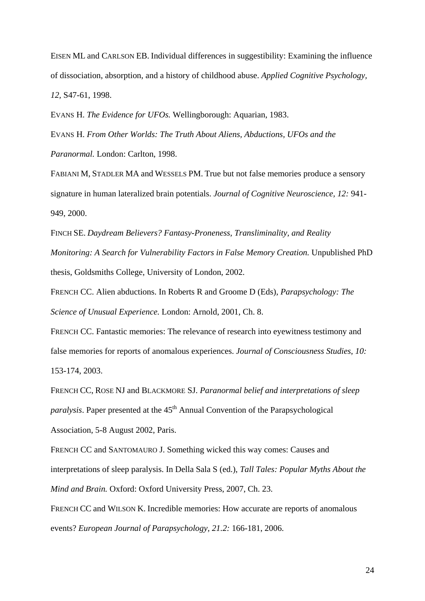EISEN ML and CARLSON EB. Individual differences in suggestibility: Examining the influence of dissociation, absorption, and a history of childhood abuse. *Applied Cognitive Psychology, 12,* S47-61, 1998.

EVANS H. *The Evidence for UFOs.* Wellingborough: Aquarian, 1983.

EVANS H. *From Other Worlds: The Truth About Aliens, Abductions, UFOs and the Paranormal.* London: Carlton, 1998.

FABIANI M, STADLER MA and WESSELS PM. True but not false memories produce a sensory signature in human lateralized brain potentials. *Journal of Cognitive Neuroscience, 12:* 941- 949, 2000.

FINCH SE. *Daydream Believers? Fantasy-Proneness, Transliminality, and Reality Monitoring: A Search for Vulnerability Factors in False Memory Creation. Unpublished PhD* thesis, Goldsmiths College, University of London, 2002.

FRENCH CC. Alien abductions. In Roberts R and Groome D (Eds), *Parapsychology: The Science of Unusual Experience.* London: Arnold, 2001, Ch. 8.

FRENCH CC. Fantastic memories: The relevance of research into eyewitness testimony and false memories for reports of anomalous experiences. *Journal of Consciousness Studies*, *10:* 153-174, 2003.

FRENCH CC, ROSE NJ and BLACKMORE SJ. *Paranormal belief and interpretations of sleep paralysis*. Paper presented at the 45<sup>th</sup> Annual Convention of the Parapsychological Association, 5-8 August 2002, Paris.

FRENCH CC and SANTOMAURO J. Something wicked this way comes: Causes and interpretations of sleep paralysis. In Della Sala S (ed.), *Tall Tales: Popular Myths About the Mind and Brain.* Oxford: Oxford University Press, 2007, Ch. 23.

FRENCH CC and WILSON K. Incredible memories: How accurate are reports of anomalous events? *European Journal of Parapsychology, 21.2:* 166-181, 2006.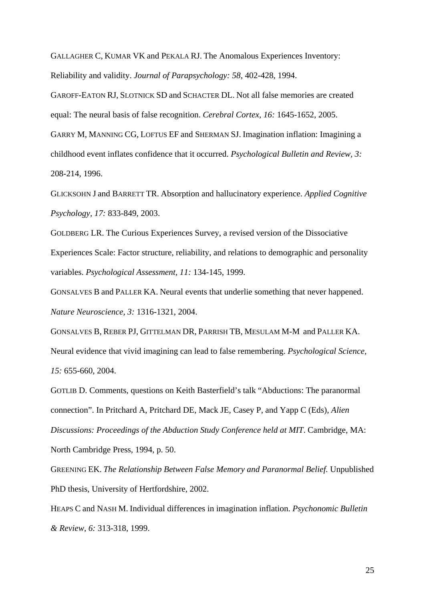GALLAGHER C, KUMAR VK and PEKALA RJ. The Anomalous Experiences Inventory: Reliability and validity. *Journal of Parapsychology: 58,* 402-428, 1994.

GAROFF-EATON RJ, SLOTNICK SD and SCHACTER DL. Not all false memories are created equal: The neural basis of false recognition. *Cerebral Cortex, 16:* 1645-1652, 2005.

GARRY M, MANNING CG, LOFTUS EF and SHERMAN SJ. Imagination inflation: Imagining a childhood event inflates confidence that it occurred. *Psychological Bulletin and Review, 3:*  208-214, 1996.

GLICKSOHN J and BARRETT TR. Absorption and hallucinatory experience. *Applied Cognitive Psychology, 17:* 833-849, 2003.

GOLDBERG LR. The Curious Experiences Survey, a revised version of the Dissociative Experiences Scale: Factor structure, reliability, and relations to demographic and personality variables. *Psychological Assessment, 11:* 134-145, 1999.

GONSALVES B and PALLER KA. Neural events that underlie something that never happened. *Nature Neuroscience, 3:* 1316-1321, 2004.

GONSALVES B, REBER PJ, GITTELMAN DR, PARRISH TB, MESULAM M-M and PALLER KA. Neural evidence that vivid imagining can lead to false remembering. *Psychological Science, 15:* 655-660, 2004.

GOTLIB D. Comments, questions on Keith Basterfield's talk "Abductions: The paranormal connection". In Pritchard A, Pritchard DE, Mack JE, Casey P, and Yapp C (Eds), *Alien Discussions: Proceedings of the Abduction Study Conference held at MIT*. Cambridge, MA: North Cambridge Press, 1994, p. 50.

GREENING EK. *The Relationship Between False Memory and Paranormal Belief.* Unpublished PhD thesis, University of Hertfordshire, 2002.

HEAPS C and NASH M. Individual differences in imagination inflation. *Psychonomic Bulletin & Review, 6:* 313-318, 1999.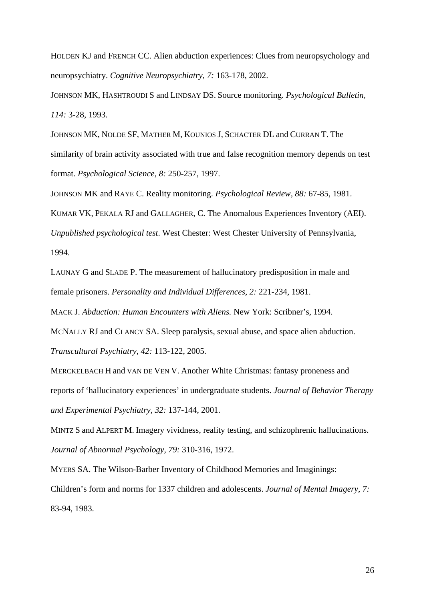HOLDEN KJ and FRENCH CC. Alien abduction experiences: Clues from neuropsychology and neuropsychiatry. *Cognitive Neuropsychiatry, 7:* 163-178, 2002.

JOHNSON MK, HASHTROUDI S and LINDSAY DS. Source monitoring. *Psychological Bulletin, 114:* 3-28, 1993.

JOHNSON MK, NOLDE SF, MATHER M, KOUNIOS J, SCHACTER DL and CURRAN T. The similarity of brain activity associated with true and false recognition memory depends on test format. *Psychological Science, 8:* 250-257, 1997.

JOHNSON MK and RAYE C. Reality monitoring. *Psychological Review, 88:* 67-85, 1981. KUMAR VK, PEKALA RJ and GALLAGHER, C. The Anomalous Experiences Inventory (AEI). *Unpublished psychological test*. West Chester: West Chester University of Pennsylvania, 1994.

LAUNAY G and SLADE P. The measurement of hallucinatory predisposition in male and female prisoners. *Personality and Individual Differences*, *2:* 221-234, 1981.

MACK J. *Abduction: Human Encounters with Aliens.* New York: Scribner's, 1994.

MCNALLY RJ and CLANCY SA. Sleep paralysis, sexual abuse, and space alien abduction. *Transcultural Psychiatry*, *42:* 113-122, 2005.

MERCKELBACH H and VAN DE VEN V. Another White Christmas: fantasy proneness and reports of 'hallucinatory experiences' in undergraduate students. *Journal of Behavior Therapy and Experimental Psychiatry, 32:* 137-144, 2001.

MINTZ S and ALPERT M. Imagery vividness, reality testing, and schizophrenic hallucinations. *Journal of Abnormal Psychology, 79:* 310-316, 1972.

MYERS SA. The Wilson-Barber Inventory of Childhood Memories and Imaginings: Children's form and norms for 1337 children and adolescents. *Journal of Mental Imagery*, *7:* 83-94, 1983.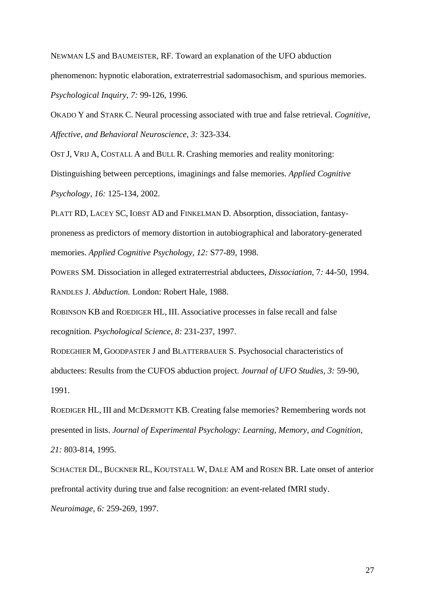NEWMAN LS and BAUMEISTER, RF. Toward an explanation of the UFO abduction phenomenon: hypnotic elaboration, extraterrestrial sadomasochism, and spurious memories. *Psychological Inquiry*, *7:* 99-126, 1996.

OKADO Y and STARK C. Neural processing associated with true and false retrieval. *Cognitive, Affective, and Behavioral Neuroscience, 3:* 323-334.

OST J, VRIJ A, COSTALL A and BULL R. Crashing memories and reality monitoring: Distinguishing between perceptions, imaginings and false memories. *Applied Cognitive Psychology, 16:* 125-134, 2002.

PLATT RD, LACEY SC, IOBST AD and FINKELMAN D. Absorption, dissociation, fantasyproneness as predictors of memory distortion in autobiographical and laboratory-generated memories. *Applied Cognitive Psychology, 12:* S77-89, 1998.

POWERS SM. Dissociation in alleged extraterrestrial abductees, *Dissociation,* 7*:* 44-50, 1994. RANDLES J. *Abduction.* London: Robert Hale, 1988.

ROBINSON KB and ROEDIGER HL, III. Associative processes in false recall and false recognition. *Psychological Science, 8:* 231-237, 1997.

RODEGHIER M, GOODPASTER J and BLATTERBAUER S. Psychosocial characteristics of abductees: Results from the CUFOS abduction project. *Journal of UFO Studies, 3:* 59-90, 1991.

ROEDIGER HL, III and MCDERMOTT KB. Creating false memories? Remembering words not presented in lists. *Journal of Experimental Psychology: Learning, Memory, and Cognition, 21:* 803-814, 1995.

SCHACTER DL, BUCKNER RL, KOUTSTALL W, DALE AM and ROSEN BR. Late onset of anterior prefrontal activity during true and false recognition: an event-related fMRI study.

*Neuroimage, 6:* 259-269, 1997.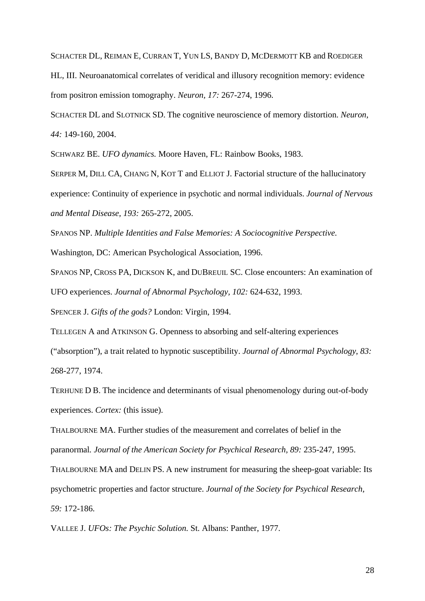SCHACTER DL, REIMAN E, CURRAN T, YUN LS, BANDY D, MCDERMOTT KB and ROEDIGER

HL, III. Neuroanatomical correlates of veridical and illusory recognition memory: evidence from positron emission tomography. *Neuron, 17:* 267-274, 1996.

SCHACTER DL and SLOTNICK SD. The cognitive neuroscience of memory distortion. *Neuron, 44:* 149-160, 2004.

SCHWARZ BE. *UFO dynamics.* Moore Haven, FL: Rainbow Books, 1983.

SERPER M, DILL CA, CHANG N, KOT T and ELLIOT J. Factorial structure of the hallucinatory experience: Continuity of experience in psychotic and normal individuals. *Journal of Nervous and Mental Disease, 193:* 265-272, 2005.

SPANOS NP. *Multiple Identities and False Memories: A Sociocognitive Perspective.* 

Washington, DC: American Psychological Association, 1996.

SPANOS NP, CROSS PA, DICKSON K, and DUBREUIL SC. Close encounters: An examination of UFO experiences. *Journal of Abnormal Psychology, 102:* 624-632, 1993.

SPENCER J. *Gifts of the gods?* London: Virgin, 1994.

TELLEGEN A and ATKINSON G. Openness to absorbing and self-altering experiences ("absorption"), a trait related to hypnotic susceptibility. *Journal of Abnormal Psychology*, *83:* 268-277, 1974.

TERHUNE D B. The incidence and determinants of visual phenomenology during out-of-body experiences. *Cortex:* (this issue).

THALBOURNE MA. Further studies of the measurement and correlates of belief in the paranormal*. Journal of the American Society for Psychical Research, 89:* 235-247, 1995. THALBOURNE MA and DELIN PS. A new instrument for measuring the sheep-goat variable: Its psychometric properties and factor structure. *Journal of the Society for Psychical Research, 59:* 172-186.

VALLEE J. *UFOs: The Psychic Solution.* St. Albans: Panther, 1977.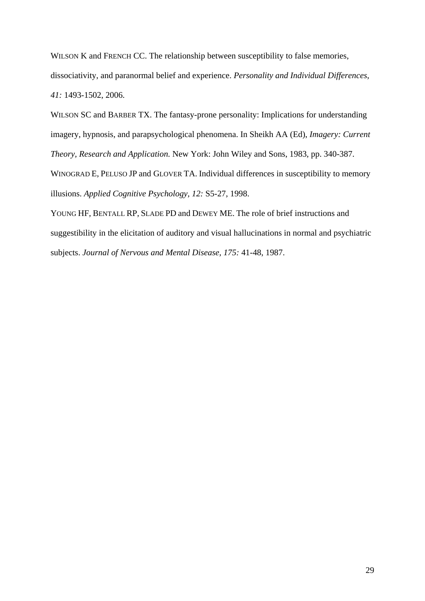WILSON K and FRENCH CC. The relationship between susceptibility to false memories, dissociativity, and paranormal belief and experience. *Personality and Individual Differences*, *41:* 1493-1502, 2006.

WILSON SC and BARBER TX. The fantasy-prone personality: Implications for understanding imagery, hypnosis, and parapsychological phenomena. In Sheikh AA (Ed), *Imagery: Current Theory, Research and Application.* New York: John Wiley and Sons, 1983, pp. 340-387.

WINOGRAD E, PELUSO JP and GLOVER TA. Individual differences in susceptibility to memory illusions. *Applied Cognitive Psychology, 12:* S5-27, 1998.

YOUNG HF, BENTALL RP, SLADE PD and DEWEY ME. The role of brief instructions and suggestibility in the elicitation of auditory and visual hallucinations in normal and psychiatric subjects. *Journal of Nervous and Mental Disease, 175:* 41-48, 1987.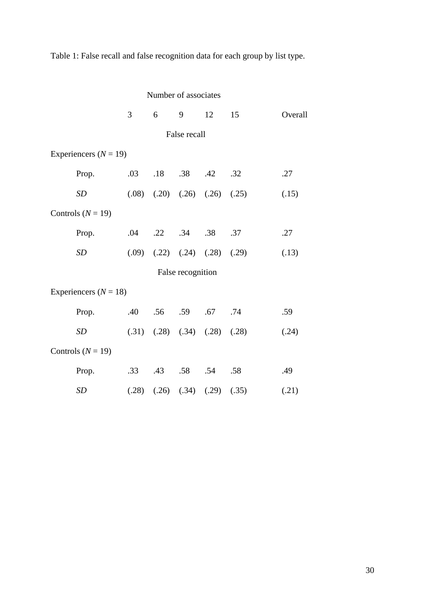| Number of associates      |       |            |                         |         |       |         |
|---------------------------|-------|------------|-------------------------|---------|-------|---------|
|                           | 3     | $6\degree$ | 9                       | 12      | 15    | Overall |
| False recall              |       |            |                         |         |       |         |
| Experiencers ( $N = 19$ ) |       |            |                         |         |       |         |
| Prop.                     | .03   |            | $.18$ $.38$ $.42$ $.32$ |         |       | .27     |
| SD                        | (.08) |            | $(.20)$ $(.26)$ $(.26)$ |         | (.25) | (.15)   |
| Controls ( $N = 19$ )     |       |            |                         |         |       |         |
| Prop.                     | .04   |            | $.22 \t .34 \t .38$     |         | .37   | .27     |
| SD                        | (.09) |            | $(.22)$ $(.24)$ $(.28)$ |         | (.29) | (.13)   |
| False recognition         |       |            |                         |         |       |         |
| Experiencers ( $N = 18$ ) |       |            |                         |         |       |         |
| Prop.                     | .40   |            | .56 .59                 | .67     | .74   | .59     |
| SD                        | (.31) |            | $(.28)$ $(.34)$ $(.28)$ |         | (.28) | (.24)   |
| Controls $(N = 19)$       |       |            |                         |         |       |         |
| Prop.                     | .33   | .43        |                         | .58 .54 | .58   | .49     |
| SD                        | (.28) |            | $(.26)$ $(.34)$ $(.29)$ |         | (.35) | (.21)   |

Table 1: False recall and false recognition data for each group by list type.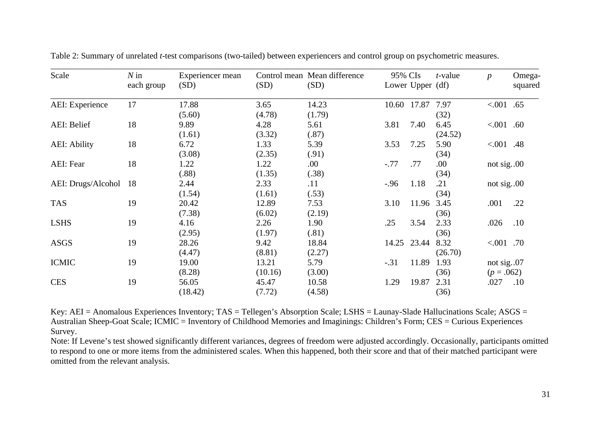| Scale                   | $N$ in<br>each group | Experiencer mean<br>(SD) | (SD)    | Control mean Mean difference<br>(SD) | 95% CIs | Lower Upper (df) | $t$ -value | $\boldsymbol{p}$ | Omega-<br>squared |
|-------------------------|----------------------|--------------------------|---------|--------------------------------------|---------|------------------|------------|------------------|-------------------|
| <b>AEI</b> : Experience | 17                   | 17.88                    | 3.65    | 14.23                                | 10.60   | 17.87            | 7.97       | $< 001$ .65      |                   |
|                         |                      | (5.60)                   | (4.78)  | (1.79)                               |         |                  | (32)       |                  |                   |
| AEI: Belief             | 18                   | 9.89                     | 4.28    | 5.61                                 | 3.81    | 7.40             | 6.45       | < 0.001          | .60               |
|                         |                      | (1.61)                   | (3.32)  | (.87)                                |         |                  | (24.52)    |                  |                   |
| <b>AEI: Ability</b>     | 18                   | 6.72                     | 1.33    | 5.39                                 | 3.53    | 7.25             | 5.90       | < 001            | .48               |
|                         |                      | (3.08)                   | (2.35)  | (.91)                                |         |                  | (34)       |                  |                   |
| AEI: Fear               | 18                   | 1.22                     | 1.22    | .00.                                 | $-.77$  | .77              | .00.       | not sig. $.00$   |                   |
|                         |                      | (.88)                    | (1.35)  | (.38)                                |         |                  | (34)       |                  |                   |
| AEI: Drugs/Alcohol 18   |                      | 2.44                     | 2.33    | .11                                  | $-.96$  | 1.18             | .21        | not sig. $.00$   |                   |
|                         |                      | (1.54)                   | (1.61)  | (.53)                                |         |                  | (34)       |                  |                   |
| <b>TAS</b>              | 19                   | 20.42                    | 12.89   | 7.53                                 | 3.10    | 11.96            | 3.45       | .001             | .22               |
|                         |                      | (7.38)                   | (6.02)  | (2.19)                               |         |                  | (36)       |                  |                   |
| 19<br><b>LSHS</b>       |                      | 4.16                     | 2.26    | 1.90                                 | .25     | 3.54             | 2.33       | .026             | .10               |
|                         |                      | (2.95)                   | (1.97)  | (.81)                                |         |                  | (36)       |                  |                   |
| 19<br><b>ASGS</b>       |                      | 28.26                    | 9.42    | 18.84                                | 14.25   | 23.44            | 8.32       | $< 0.01$ .70     |                   |
|                         |                      | (4.47)                   | (8.81)  | (2.27)                               |         |                  | (26.70)    |                  |                   |
| <b>ICMIC</b>            | 19                   | 19.00                    | 13.21   | 5.79                                 | $-.31$  | 11.89            | 1.93       | not sig07        |                   |
|                         |                      | (8.28)                   | (10.16) | (3.00)                               |         |                  | (36)       | $(p=.062)$       |                   |
| <b>CES</b>              | 19                   | 56.05                    | 45.47   | 10.58                                | 1.29    | 19.87            | 2.31       | .027             | $.10\,$           |
|                         |                      | (18.42)                  | (7.72)  | (4.58)                               |         |                  | (36)       |                  |                   |

Table 2: Summary of unrelated *t*-test comparisons (two-tailed) between experiencers and control group on psychometric measures.

Key: AEI = Anomalous Experiences Inventory; TAS = Tellegen's Absorption Scale; LSHS = Launay-Slade Hallucinations Scale; ASGS = Australian Sheep-Goat Scale; ICMIC = Inventory of Childhood Memories and Imaginings: Children's Form; CES = Curious Experiences Survey.

Note: If Levene's test showed significantly different variances, degrees of freedom were adjusted accordingly. Occasionally, participants omitted to respond to one or more items from the administered scales. When this happened, both their score and that of their matched participant were omitted from the relevant analysis.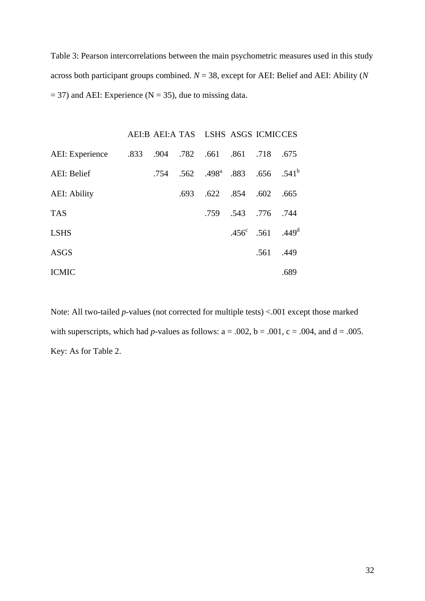Table 3: Pearson intercorrelations between the main psychometric measures used in this study across both participant groups combined. *N* = 38, except for AEI: Belief and AEI: Ability (*N*   $= 37$ ) and AEI: Experience (N  $= 35$ ), due to missing data.

|                                               |  |      |                | AEI:B AEI:A TAS LSHS ASGS ICMICCES                      |      |
|-----------------------------------------------|--|------|----------------|---------------------------------------------------------|------|
| AEI: Experience .833 .904 .782 .661 .861 .718 |  |      |                |                                                         | .675 |
| AEI: Belief                                   |  |      |                | .754 .562 .498 <sup>a</sup> .883 .656 .541 <sup>b</sup> |      |
| <b>AEI</b> : Ability                          |  | .693 | .622 .854 .602 |                                                         | .665 |
| <b>TAS</b>                                    |  |      | .759           | .543 .776 .744                                          |      |
| <b>LSHS</b>                                   |  |      |                | $.456^c$ .561 .449 <sup>d</sup>                         |      |
| <b>ASGS</b>                                   |  |      |                | .561                                                    | .449 |
| <b>ICMIC</b>                                  |  |      |                |                                                         | .689 |

Note: All two-tailed *p*-values (not corrected for multiple tests) <.001 except those marked with superscripts, which had *p*-values as follows:  $a = .002$ ,  $b = .001$ ,  $c = .004$ , and  $d = .005$ . Key: As for Table 2.